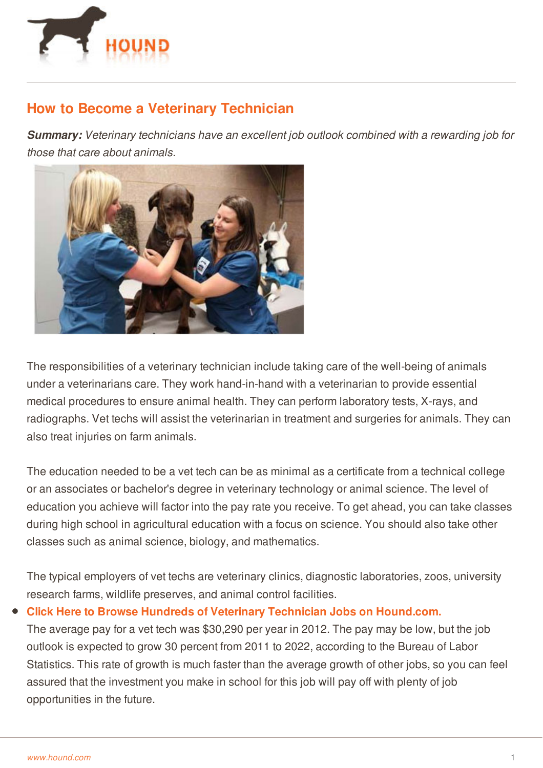

## **How to Become a Veterinary Technician**

*Summary: Veterinary technicians have an excellent job outlook combined with a rewarding job for those that care about animals.*



The responsibilities of a veterinary technician include taking care of the well-being of animals under a veterinarians care. They work hand-in-hand with a veterinarian to provide essential medical procedures to ensure animal health. They can perform laboratory tests, X-rays, and radiographs. Vet techs will assist the veterinarian in treatment and surgeries for animals. They can also treat injuries on farm animals.

The education needed to be a vet tech can be as minimal as a certificate from a technical college or an associates or bachelor's degree in veterinary technology or animal science. The level of education you achieve will factor into the pay rate you receive. To get ahead, you can take classes during high school in agricultural education with a focus on science. You should also take other classes such as animal science, biology, and mathematics.

The typical employers of vet techs are veterinary clinics, diagnostic laboratories, zoos, university research farms, wildlife preserves, and animal control facilities.

## **Click Here to Browse Hundreds of Veterinary Technician Jobs on [Hound.com.](http://www.hound.com/q-Technician-category-Veterinary-jobs.html)**

The average pay for a vet tech was \$30,290 per year in 2012. The pay may be low, but the job outlook is expected to grow 30 percent from 2011 to 2022, according to the Bureau of Labor [Statistics.](http://www.hound.com/) This rate of growth is much faster than the average growth of other jobs, so you can feel assured that the investment you make in school for this job will pay off with plenty of job opportunities in the future.